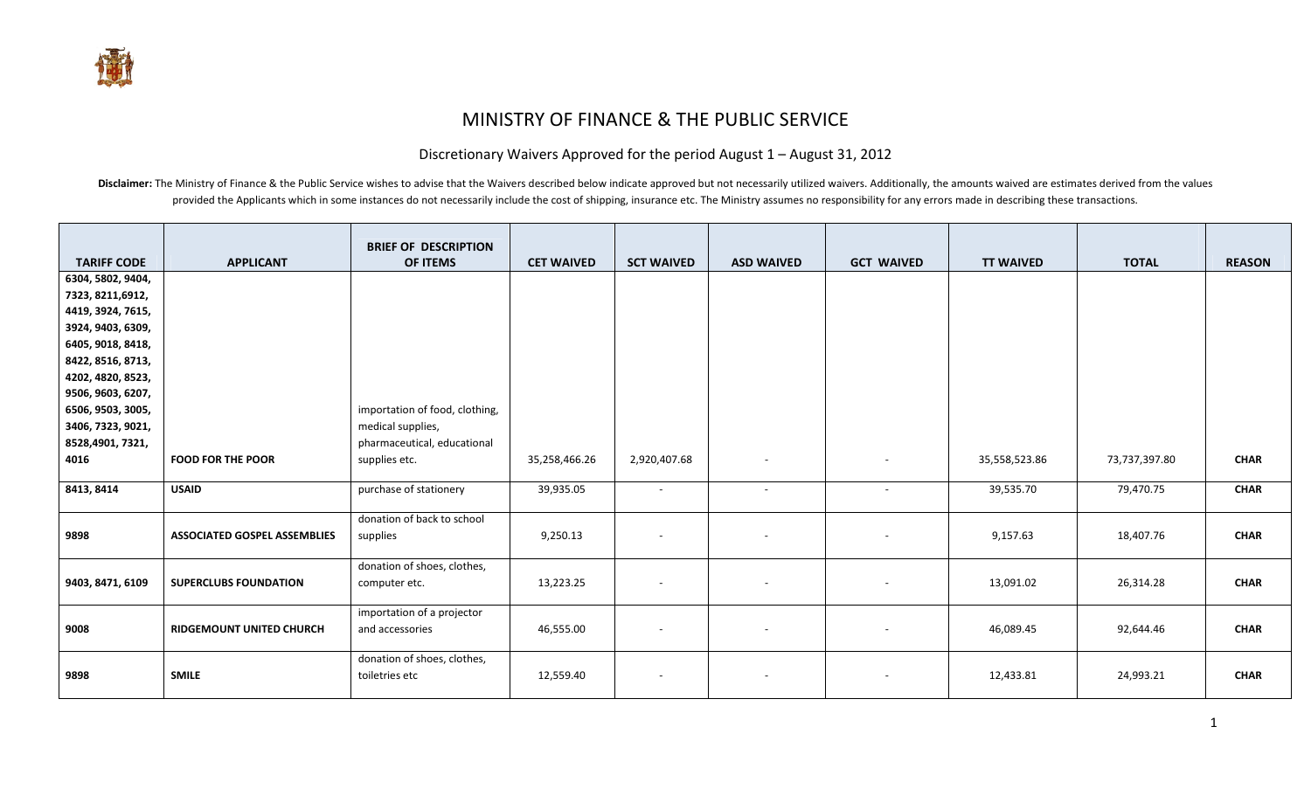## MINISTRY OF FINANCE & THE PUBLIC SERVICE

## Discretionary Waivers Approved for the period August 1 – August 31, 2012

Disclaimer: The Ministry of Finance & the Public Service wishes to advise that the Waivers described below indicate approved but not necessarily utilized waivers. Additionally, the amounts waived are estimates derived from provided the Applicants which in some instances do not necessarily include the cost of shipping, insurance etc. The Ministry assumes no responsibility for any errors made in describing these transactions.

|                    |                                     | <b>BRIEF OF DESCRIPTION</b>    |                   |                          |                          |                   |                  |               |               |
|--------------------|-------------------------------------|--------------------------------|-------------------|--------------------------|--------------------------|-------------------|------------------|---------------|---------------|
| <b>TARIFF CODE</b> | <b>APPLICANT</b>                    | <b>OF ITEMS</b>                | <b>CET WAIVED</b> | <b>SCT WAIVED</b>        | <b>ASD WAIVED</b>        | <b>GCT WAIVED</b> | <b>TT WAIVED</b> | <b>TOTAL</b>  | <b>REASON</b> |
| 6304, 5802, 9404,  |                                     |                                |                   |                          |                          |                   |                  |               |               |
| 7323, 8211, 6912,  |                                     |                                |                   |                          |                          |                   |                  |               |               |
| 4419, 3924, 7615,  |                                     |                                |                   |                          |                          |                   |                  |               |               |
| 3924, 9403, 6309,  |                                     |                                |                   |                          |                          |                   |                  |               |               |
| 6405, 9018, 8418,  |                                     |                                |                   |                          |                          |                   |                  |               |               |
| 8422, 8516, 8713,  |                                     |                                |                   |                          |                          |                   |                  |               |               |
| 4202, 4820, 8523,  |                                     |                                |                   |                          |                          |                   |                  |               |               |
| 9506, 9603, 6207,  |                                     |                                |                   |                          |                          |                   |                  |               |               |
| 6506, 9503, 3005,  |                                     | importation of food, clothing, |                   |                          |                          |                   |                  |               |               |
| 3406, 7323, 9021,  |                                     | medical supplies,              |                   |                          |                          |                   |                  |               |               |
| 8528,4901, 7321,   |                                     | pharmaceutical, educational    |                   |                          |                          |                   |                  |               |               |
| 4016               | <b>FOOD FOR THE POOR</b>            | supplies etc.                  | 35,258,466.26     | 2,920,407.68             | $\sim$                   |                   | 35,558,523.86    | 73,737,397.80 | <b>CHAR</b>   |
|                    |                                     |                                |                   |                          |                          |                   |                  |               |               |
| 8413, 8414         | <b>USAID</b>                        | purchase of stationery         | 39,935.05         | $\overline{\phantom{a}}$ | $\sim$                   | ٠.                | 39,535.70        | 79,470.75     | <b>CHAR</b>   |
|                    |                                     | donation of back to school     |                   |                          |                          |                   |                  |               |               |
| 9898               | <b>ASSOCIATED GOSPEL ASSEMBLIES</b> | supplies                       | 9,250.13          | $\overline{\phantom{a}}$ |                          |                   | 9,157.63         | 18,407.76     | <b>CHAR</b>   |
|                    |                                     |                                |                   |                          |                          |                   |                  |               |               |
|                    |                                     | donation of shoes, clothes,    |                   |                          |                          |                   |                  |               |               |
| 9403, 8471, 6109   | <b>SUPERCLUBS FOUNDATION</b>        | computer etc.                  | 13,223.25         | $\overline{\phantom{a}}$ | $\overline{\phantom{a}}$ |                   | 13,091.02        | 26,314.28     | <b>CHAR</b>   |
|                    |                                     | importation of a projector     |                   |                          |                          |                   |                  |               |               |
| 9008               | <b>RIDGEMOUNT UNITED CHURCH</b>     | and accessories                | 46,555.00         | $\overline{\phantom{a}}$ |                          |                   | 46,089.45        | 92,644.46     | <b>CHAR</b>   |
|                    |                                     |                                |                   |                          |                          |                   |                  |               |               |
|                    |                                     | donation of shoes, clothes,    |                   |                          |                          |                   |                  |               |               |
| 9898               | <b>SMILE</b>                        | toiletries etc                 | 12,559.40         | $\sim$                   | $\overline{\phantom{a}}$ |                   | 12,433.81        | 24,993.21     | <b>CHAR</b>   |
|                    |                                     |                                |                   |                          |                          |                   |                  |               |               |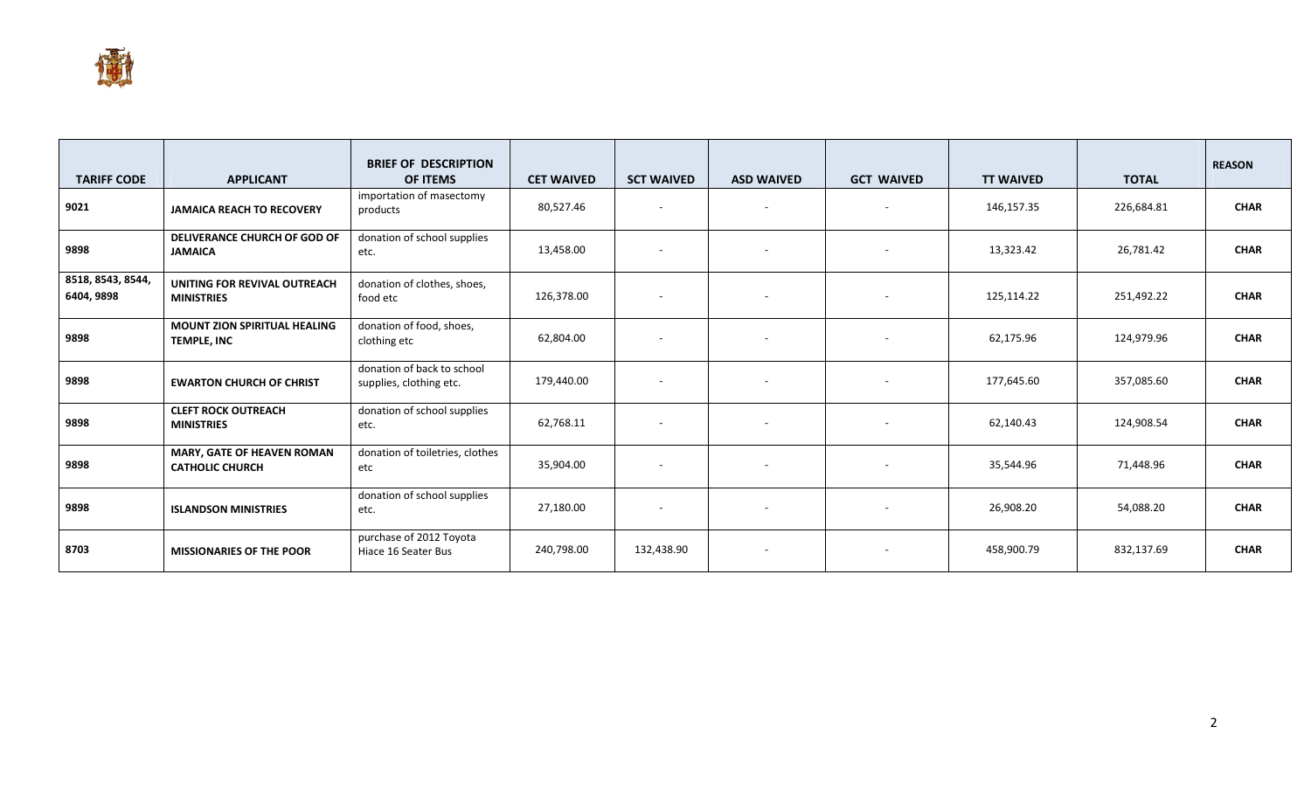

| <b>TARIFF CODE</b>              | <b>APPLICANT</b>                                            | <b>BRIEF OF DESCRIPTION</b><br><b>OF ITEMS</b>        | <b>CET WAIVED</b> | <b>SCT WAIVED</b> | <b>ASD WAIVED</b>        | <b>GCT WAIVED</b> | <b>TT WAIVED</b> | <b>TOTAL</b> | <b>REASON</b> |
|---------------------------------|-------------------------------------------------------------|-------------------------------------------------------|-------------------|-------------------|--------------------------|-------------------|------------------|--------------|---------------|
| 9021                            | <b>JAMAICA REACH TO RECOVERY</b>                            | importation of masectomy<br>products                  | 80,527.46         | $\sim$            | $\overline{\phantom{a}}$ |                   | 146,157.35       | 226,684.81   | <b>CHAR</b>   |
| 9898                            | DELIVERANCE CHURCH OF GOD OF<br><b>JAMAICA</b>              | donation of school supplies<br>etc.                   | 13,458.00         | $\sim$            | $\overline{\phantom{a}}$ |                   | 13,323.42        | 26,781.42    | <b>CHAR</b>   |
| 8518, 8543, 8544,<br>6404, 9898 | UNITING FOR REVIVAL OUTREACH<br><b>MINISTRIES</b>           | donation of clothes, shoes,<br>food etc               | 126,378.00        | $\sim$            | $\overline{\phantom{a}}$ |                   | 125,114.22       | 251,492.22   | <b>CHAR</b>   |
| 9898                            | <b>MOUNT ZION SPIRITUAL HEALING</b><br>TEMPLE, INC          | donation of food, shoes,<br>clothing etc              | 62,804.00         | $\sim$            | $\overline{\phantom{a}}$ |                   | 62,175.96        | 124,979.96   | <b>CHAR</b>   |
| 9898                            | <b>EWARTON CHURCH OF CHRIST</b>                             | donation of back to school<br>supplies, clothing etc. | 179,440.00        | $\sim$            | $\blacksquare$           |                   | 177,645.60       | 357,085.60   | <b>CHAR</b>   |
| 9898                            | <b>CLEFT ROCK OUTREACH</b><br><b>MINISTRIES</b>             | donation of school supplies<br>etc.                   | 62,768.11         | $\sim$            | $\overline{\phantom{a}}$ |                   | 62,140.43        | 124,908.54   | <b>CHAR</b>   |
| 9898                            | <b>MARY, GATE OF HEAVEN ROMAN</b><br><b>CATHOLIC CHURCH</b> | donation of toiletries, clothes<br>etc                | 35,904.00         | $\sim$            | $\overline{\phantom{a}}$ |                   | 35,544.96        | 71,448.96    | <b>CHAR</b>   |
| 9898                            | <b>ISLANDSON MINISTRIES</b>                                 | donation of school supplies<br>etc.                   | 27,180.00         | $\sim$            | $\overline{\phantom{a}}$ |                   | 26,908.20        | 54,088.20    | <b>CHAR</b>   |
| 8703                            | <b>MISSIONARIES OF THE POOR</b>                             | purchase of 2012 Toyota<br>Hiace 16 Seater Bus        | 240,798.00        | 132,438.90        | $\overline{\phantom{a}}$ |                   | 458,900.79       | 832,137.69   | <b>CHAR</b>   |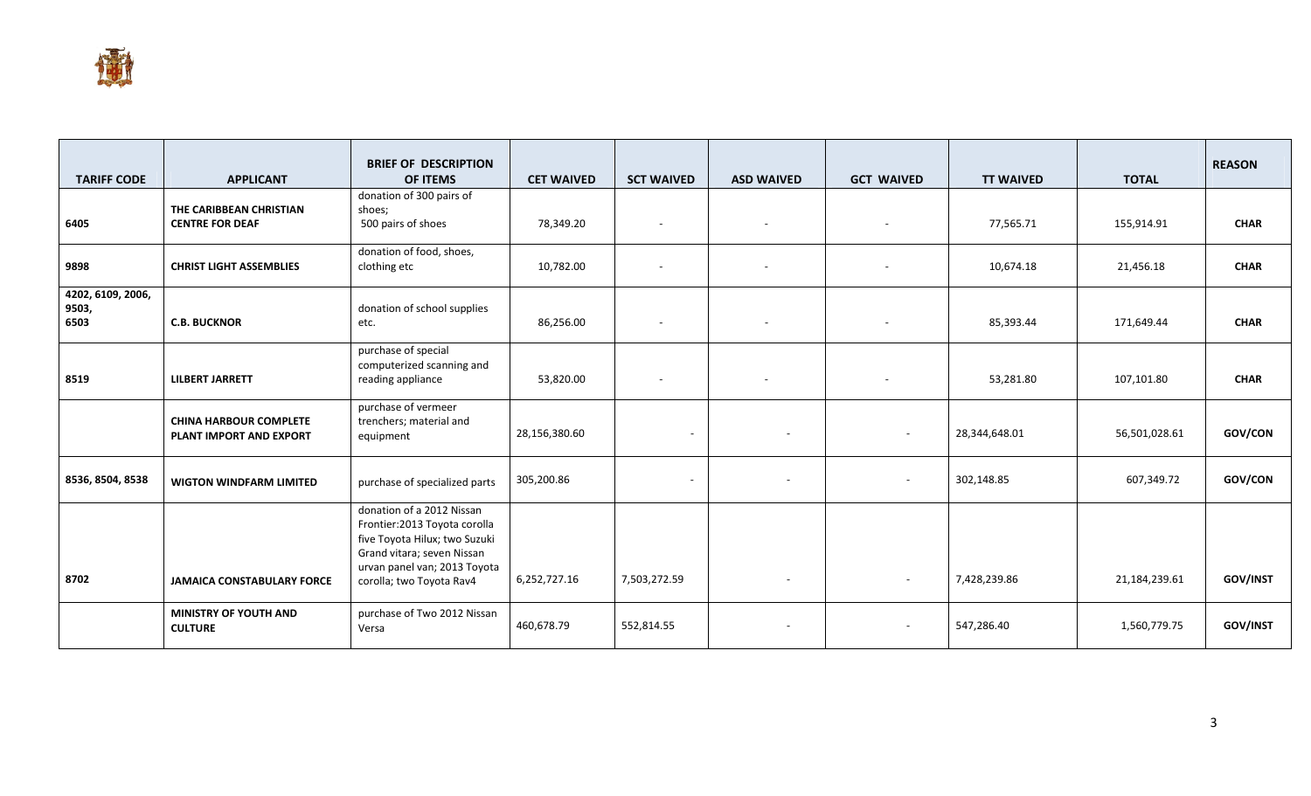

| <b>TARIFF CODE</b>                 | <b>APPLICANT</b>                                         | <b>BRIEF OF DESCRIPTION</b><br>OF ITEMS                                                                                                                                               | <b>CET WAIVED</b> | <b>SCT WAIVED</b>        | <b>ASD WAIVED</b>        | <b>GCT WAIVED</b>        | <b>TT WAIVED</b> | <b>TOTAL</b>  | <b>REASON</b> |
|------------------------------------|----------------------------------------------------------|---------------------------------------------------------------------------------------------------------------------------------------------------------------------------------------|-------------------|--------------------------|--------------------------|--------------------------|------------------|---------------|---------------|
| 6405                               | THE CARIBBEAN CHRISTIAN<br><b>CENTRE FOR DEAF</b>        | donation of 300 pairs of<br>shoes;<br>500 pairs of shoes                                                                                                                              | 78,349.20         | $\overline{\phantom{a}}$ | $\sim$                   |                          | 77,565.71        | 155,914.91    | <b>CHAR</b>   |
| 9898                               | <b>CHRIST LIGHT ASSEMBLIES</b>                           | donation of food, shoes,<br>clothing etc                                                                                                                                              | 10,782.00         | $\overline{\phantom{a}}$ |                          |                          | 10,674.18        | 21,456.18     | <b>CHAR</b>   |
| 4202, 6109, 2006,<br>9503,<br>6503 | <b>C.B. BUCKNOR</b>                                      | donation of school supplies<br>etc.                                                                                                                                                   | 86,256.00         | $\overline{\phantom{a}}$ | $\overline{a}$           |                          | 85,393.44        | 171,649.44    | <b>CHAR</b>   |
| 8519                               | <b>LILBERT JARRETT</b>                                   | purchase of special<br>computerized scanning and<br>reading appliance                                                                                                                 | 53,820.00         | $\overline{\phantom{a}}$ | $\overline{\phantom{a}}$ |                          | 53,281.80        | 107,101.80    | <b>CHAR</b>   |
|                                    | <b>CHINA HARBOUR COMPLETE</b><br>PLANT IMPORT AND EXPORT | purchase of vermeer<br>trenchers; material and<br>equipment                                                                                                                           | 28,156,380.60     | $\sim$                   |                          | $\overline{\phantom{a}}$ | 28,344,648.01    | 56,501,028.61 | GOV/CON       |
| 8536, 8504, 8538                   | <b>WIGTON WINDFARM LIMITED</b>                           | purchase of specialized parts                                                                                                                                                         | 305,200.86        | $\sim$                   |                          | $\overline{\phantom{a}}$ | 302,148.85       | 607,349.72    | GOV/CON       |
| 8702                               | <b>JAMAICA CONSTABULARY FORCE</b>                        | donation of a 2012 Nissan<br>Frontier: 2013 Toyota corolla<br>five Toyota Hilux; two Suzuki<br>Grand vitara; seven Nissan<br>urvan panel van; 2013 Toyota<br>corolla; two Toyota Rav4 | 6,252,727.16      | 7,503,272.59             |                          | ٠                        | 7,428,239.86     | 21,184,239.61 | GOV/INST      |
|                                    | <b>MINISTRY OF YOUTH AND</b><br><b>CULTURE</b>           | purchase of Two 2012 Nissan<br>Versa                                                                                                                                                  | 460,678.79        | 552,814.55               | $\overline{\phantom{a}}$ | $\sim$                   | 547,286.40       | 1,560,779.75  | GOV/INST      |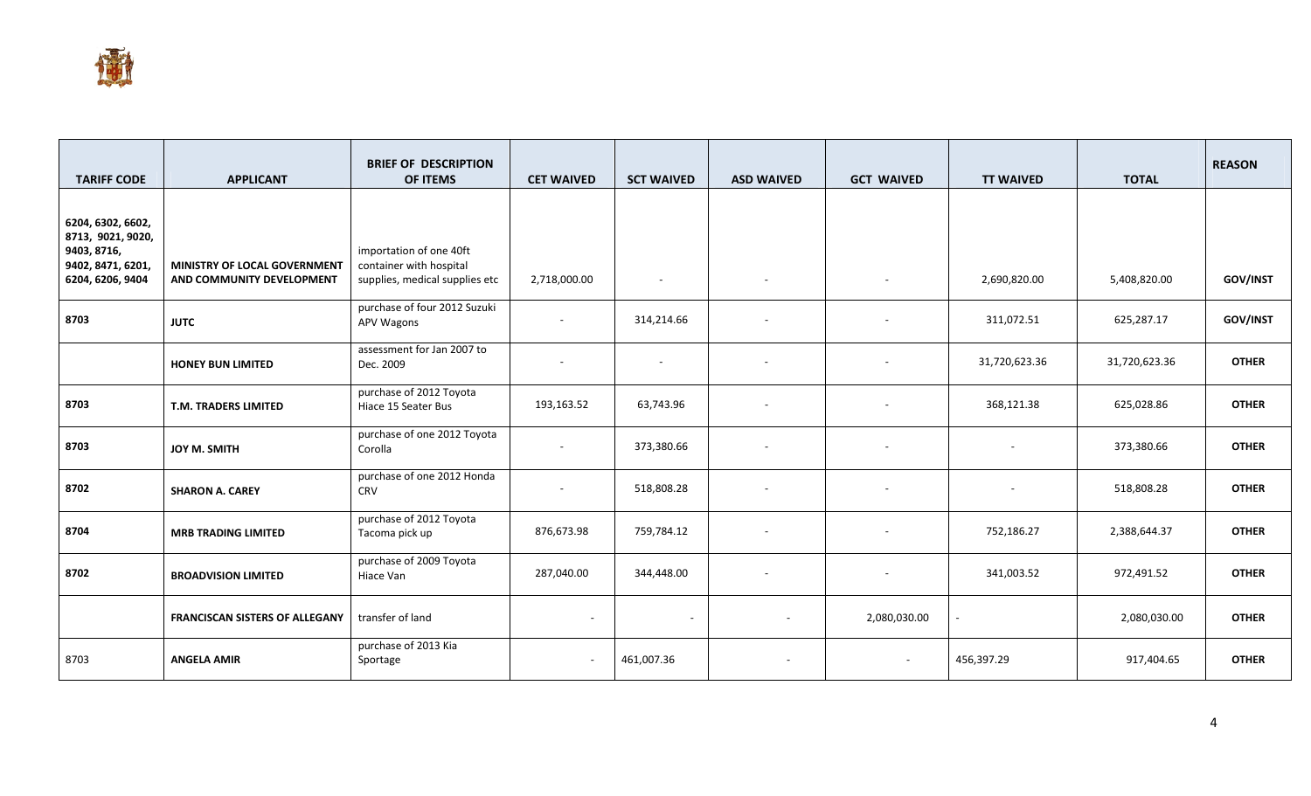

| <b>TARIFF CODE</b>                                                                             | <b>APPLICANT</b>                                          | <b>BRIEF OF DESCRIPTION</b><br>OF ITEMS                                              | <b>CET WAIVED</b>        | <b>SCT WAIVED</b>        | <b>ASD WAIVED</b>        | <b>GCT WAIVED</b>        | <b>TT WAIVED</b> | <b>TOTAL</b>  | <b>REASON</b>   |
|------------------------------------------------------------------------------------------------|-----------------------------------------------------------|--------------------------------------------------------------------------------------|--------------------------|--------------------------|--------------------------|--------------------------|------------------|---------------|-----------------|
| 6204, 6302, 6602,<br>8713, 9021, 9020,<br>9403, 8716,<br>9402, 8471, 6201,<br>6204, 6206, 9404 | MINISTRY OF LOCAL GOVERNMENT<br>AND COMMUNITY DEVELOPMENT | importation of one 40ft<br>container with hospital<br>supplies, medical supplies etc | 2,718,000.00             | $\overline{\phantom{a}}$ |                          | $\overline{\phantom{a}}$ | 2,690,820.00     | 5,408,820.00  | <b>GOV/INST</b> |
| 8703                                                                                           | <b>JUTC</b>                                               | purchase of four 2012 Suzuki<br>APV Wagons                                           | $\overline{\phantom{a}}$ | 314,214.66               |                          |                          | 311,072.51       | 625,287.17    | GOV/INST        |
|                                                                                                | <b>HONEY BUN LIMITED</b>                                  | assessment for Jan 2007 to<br>Dec. 2009                                              |                          | $\overline{\phantom{a}}$ |                          |                          | 31,720,623.36    | 31,720,623.36 | <b>OTHER</b>    |
| 8703                                                                                           | T.M. TRADERS LIMITED                                      | purchase of 2012 Toyota<br>Hiace 15 Seater Bus                                       | 193,163.52               | 63,743.96                |                          |                          | 368,121.38       | 625,028.86    | <b>OTHER</b>    |
| 8703                                                                                           | JOY M. SMITH                                              | purchase of one 2012 Toyota<br>Corolla                                               | $\overline{\phantom{a}}$ | 373,380.66               |                          |                          |                  | 373,380.66    | <b>OTHER</b>    |
| 8702                                                                                           | <b>SHARON A. CAREY</b>                                    | purchase of one 2012 Honda<br>CRV                                                    |                          | 518,808.28               |                          |                          |                  | 518,808.28    | <b>OTHER</b>    |
| 8704                                                                                           | <b>MRB TRADING LIMITED</b>                                | purchase of 2012 Toyota<br>Tacoma pick up                                            | 876,673.98               | 759,784.12               | $\overline{\phantom{a}}$ |                          | 752,186.27       | 2,388,644.37  | <b>OTHER</b>    |
| 8702                                                                                           | <b>BROADVISION LIMITED</b>                                | purchase of 2009 Toyota<br>Hiace Van                                                 | 287,040.00               | 344,448.00               | $\overline{\phantom{a}}$ |                          | 341,003.52       | 972,491.52    | <b>OTHER</b>    |
|                                                                                                | <b>FRANCISCAN SISTERS OF ALLEGANY</b>                     | transfer of land                                                                     | $\sim$                   | $\sim$                   |                          | 2,080,030.00             |                  | 2,080,030.00  | <b>OTHER</b>    |
| 8703                                                                                           | <b>ANGELA AMIR</b>                                        | purchase of 2013 Kia<br>Sportage                                                     | $\sim$                   | 461,007.36               |                          | $\overline{\phantom{a}}$ | 456,397.29       | 917,404.65    | <b>OTHER</b>    |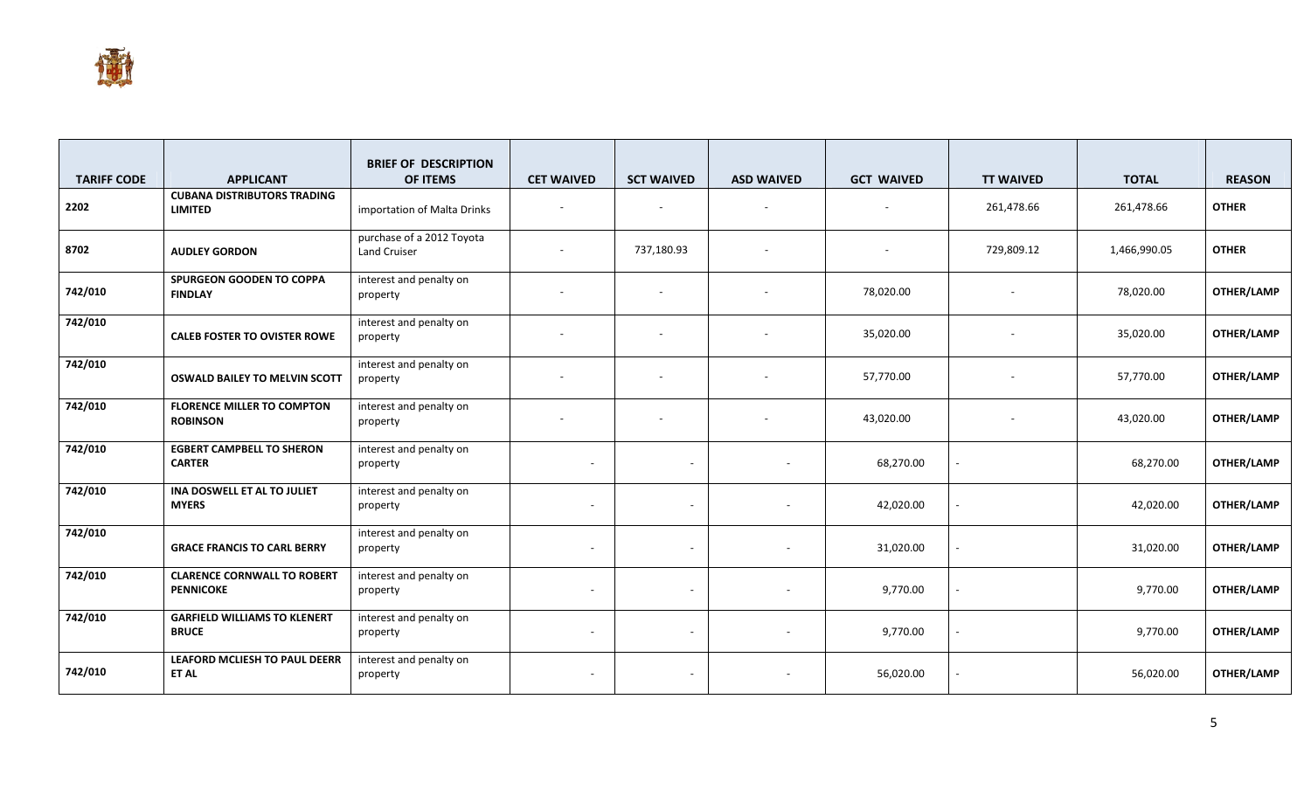

| <b>TARIFF CODE</b> | <b>APPLICANT</b>                                       | <b>BRIEF OF DESCRIPTION</b><br>OF ITEMS   | <b>CET WAIVED</b>        | <b>SCT WAIVED</b>        | <b>ASD WAIVED</b>        | <b>GCT WAIVED</b> | <b>TT WAIVED</b> | <b>TOTAL</b> | <b>REASON</b> |
|--------------------|--------------------------------------------------------|-------------------------------------------|--------------------------|--------------------------|--------------------------|-------------------|------------------|--------------|---------------|
| 2202               | <b>CUBANA DISTRIBUTORS TRADING</b><br><b>LIMITED</b>   | importation of Malta Drinks               | $\sim$                   | $\sim$                   | $\sim$                   |                   | 261,478.66       | 261,478.66   | <b>OTHER</b>  |
| 8702               | <b>AUDLEY GORDON</b>                                   | purchase of a 2012 Toyota<br>Land Cruiser |                          | 737,180.93               |                          |                   | 729,809.12       | 1,466,990.05 | <b>OTHER</b>  |
| 742/010            | SPURGEON GOODEN TO COPPA<br><b>FINDLAY</b>             | interest and penalty on<br>property       |                          | $\overline{\phantom{a}}$ |                          | 78,020.00         |                  | 78,020.00    | OTHER/LAMP    |
| 742/010            | <b>CALEB FOSTER TO OVISTER ROWE</b>                    | interest and penalty on<br>property       |                          |                          |                          | 35,020.00         |                  | 35,020.00    | OTHER/LAMP    |
| 742/010            | <b>OSWALD BAILEY TO MELVIN SCOTT</b>                   | interest and penalty on<br>property       |                          |                          |                          | 57,770.00         |                  | 57,770.00    | OTHER/LAMP    |
| 742/010            | <b>FLORENCE MILLER TO COMPTON</b><br><b>ROBINSON</b>   | interest and penalty on<br>property       | $\sim$                   | $\sim$                   |                          | 43,020.00         |                  | 43,020.00    | OTHER/LAMP    |
| 742/010            | <b>EGBERT CAMPBELL TO SHERON</b><br><b>CARTER</b>      | interest and penalty on<br>property       | $\overline{\phantom{a}}$ | ٠                        |                          | 68,270.00         |                  | 68,270.00    | OTHER/LAMP    |
| 742/010            | INA DOSWELL ET AL TO JULIET<br><b>MYERS</b>            | interest and penalty on<br>property       | $\overline{\phantom{a}}$ | ٠                        |                          | 42,020.00         |                  | 42,020.00    | OTHER/LAMP    |
| 742/010            | <b>GRACE FRANCIS TO CARL BERRY</b>                     | interest and penalty on<br>property       | $\sim$                   | $\overline{\phantom{a}}$ |                          | 31,020.00         |                  | 31,020.00    | OTHER/LAMP    |
| 742/010            | <b>CLARENCE CORNWALL TO ROBERT</b><br><b>PENNICOKE</b> | interest and penalty on<br>property       | $\sim$                   | ٠                        | $\overline{\phantom{a}}$ | 9,770.00          |                  | 9,770.00     | OTHER/LAMP    |
| 742/010            | <b>GARFIELD WILLIAMS TO KLENERT</b><br><b>BRUCE</b>    | interest and penalty on<br>property       | $\sim$                   | $\overline{\phantom{a}}$ |                          | 9,770.00          |                  | 9,770.00     | OTHER/LAMP    |
| 742/010            | LEAFORD MCLIESH TO PAUL DEERR<br>ET AL                 | interest and penalty on<br>property       | $\overline{\phantom{a}}$ | $\overline{\phantom{a}}$ |                          | 56,020.00         |                  | 56,020.00    | OTHER/LAMP    |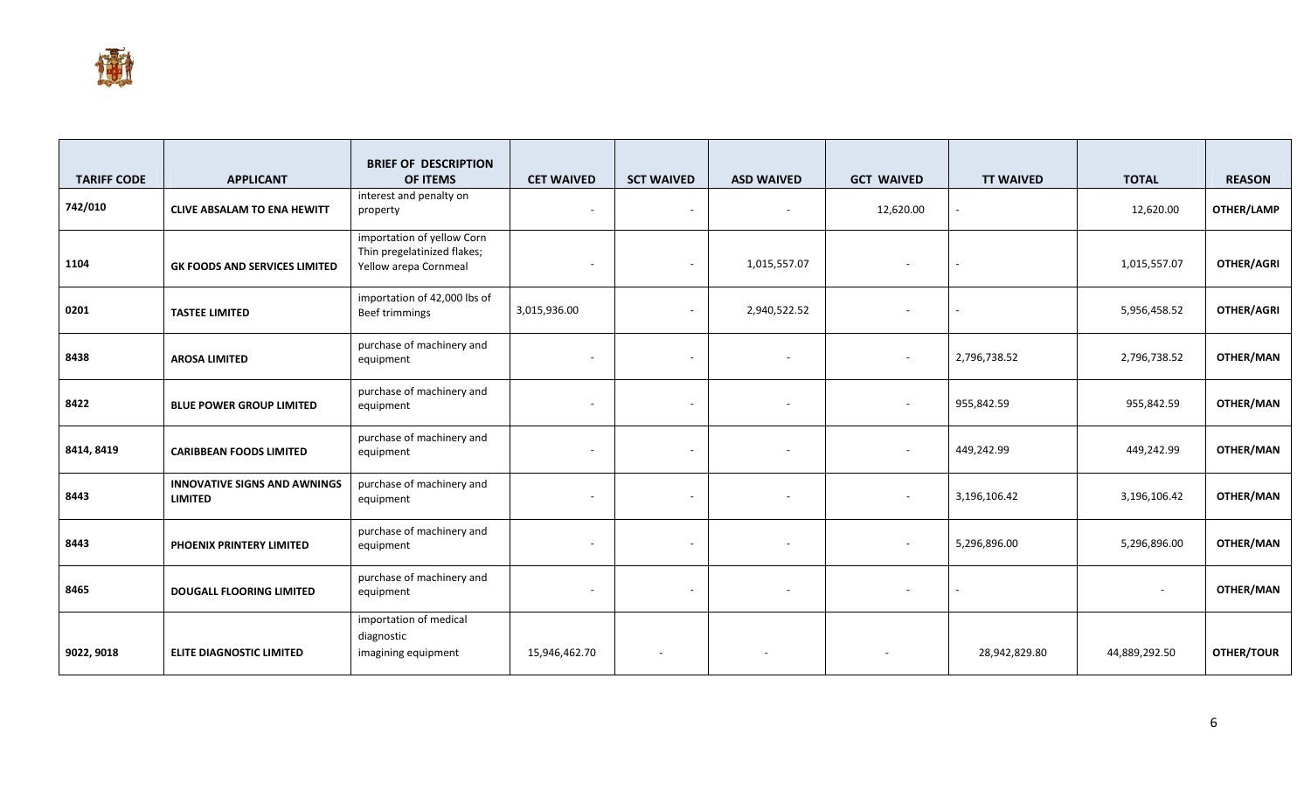

|                    |                                                       | <b>BRIEF OF DESCRIPTION</b>                                                        |                          |                          |                   |                          |                  |               |                   |
|--------------------|-------------------------------------------------------|------------------------------------------------------------------------------------|--------------------------|--------------------------|-------------------|--------------------------|------------------|---------------|-------------------|
| <b>TARIFF CODE</b> | <b>APPLICANT</b>                                      | OF ITEMS                                                                           | <b>CET WAIVED</b>        | <b>SCT WAIVED</b>        | <b>ASD WAIVED</b> | <b>GCT WAIVED</b>        | <b>TT WAIVED</b> | <b>TOTAL</b>  | <b>REASON</b>     |
| 742/010            | <b>CLIVE ABSALAM TO ENA HEWITT</b>                    | interest and penalty on<br>property                                                | $\overline{\phantom{a}}$ | $\overline{\phantom{a}}$ |                   | 12,620.00                |                  | 12,620.00     | OTHER/LAMP        |
| 1104               | <b>GK FOODS AND SERVICES LIMITED</b>                  | importation of yellow Corn<br>Thin pregelatinized flakes;<br>Yellow arepa Cornmeal | $\sim$                   | $\overline{\phantom{a}}$ | 1,015,557.07      | $\sim$                   |                  | 1,015,557.07  | <b>OTHER/AGRI</b> |
| 0201               | <b>TASTEE LIMITED</b>                                 | importation of 42,000 lbs of<br>Beef trimmings                                     | 3,015,936.00             | $\blacksquare$           | 2,940,522.52      |                          |                  | 5,956,458.52  | OTHER/AGRI        |
| 8438               | <b>AROSA LIMITED</b>                                  | purchase of machinery and<br>equipment                                             |                          | $\overline{\phantom{a}}$ |                   | $\sim$                   | 2,796,738.52     | 2,796,738.52  | OTHER/MAN         |
| 8422               | <b>BLUE POWER GROUP LIMITED</b>                       | purchase of machinery and<br>equipment                                             | $\sim$                   | $\overline{\phantom{a}}$ |                   | $\sim$                   | 955,842.59       | 955,842.59    | OTHER/MAN         |
| 8414, 8419         | <b>CARIBBEAN FOODS LIMITED</b>                        | purchase of machinery and<br>equipment                                             | $\overline{\phantom{a}}$ | $\overline{\phantom{a}}$ | $\sim$            | $\overline{\phantom{a}}$ | 449,242.99       | 449,242.99    | <b>OTHER/MAN</b>  |
| 8443               | <b>INNOVATIVE SIGNS AND AWNINGS</b><br><b>LIMITED</b> | purchase of machinery and<br>equipment                                             | $\overline{\phantom{a}}$ | $\overline{\phantom{a}}$ |                   | $\overline{\phantom{a}}$ | 3,196,106.42     | 3,196,106.42  | OTHER/MAN         |
| 8443               | PHOENIX PRINTERY LIMITED                              | purchase of machinery and<br>equipment                                             | $\overline{\phantom{a}}$ | $\sim$                   |                   | $\sim$                   | 5,296,896.00     | 5,296,896.00  | OTHER/MAN         |
| 8465               | <b>DOUGALL FLOORING LIMITED</b>                       | purchase of machinery and<br>equipment                                             | $\overline{\phantom{a}}$ | $\overline{\phantom{a}}$ |                   |                          |                  |               | OTHER/MAN         |
| 9022, 9018         | <b>ELITE DIAGNOSTIC LIMITED</b>                       | importation of medical<br>diagnostic<br>imagining equipment                        | 15,946,462.70            | $\overline{\phantom{a}}$ |                   |                          | 28,942,829.80    | 44,889,292.50 | OTHER/TOUR        |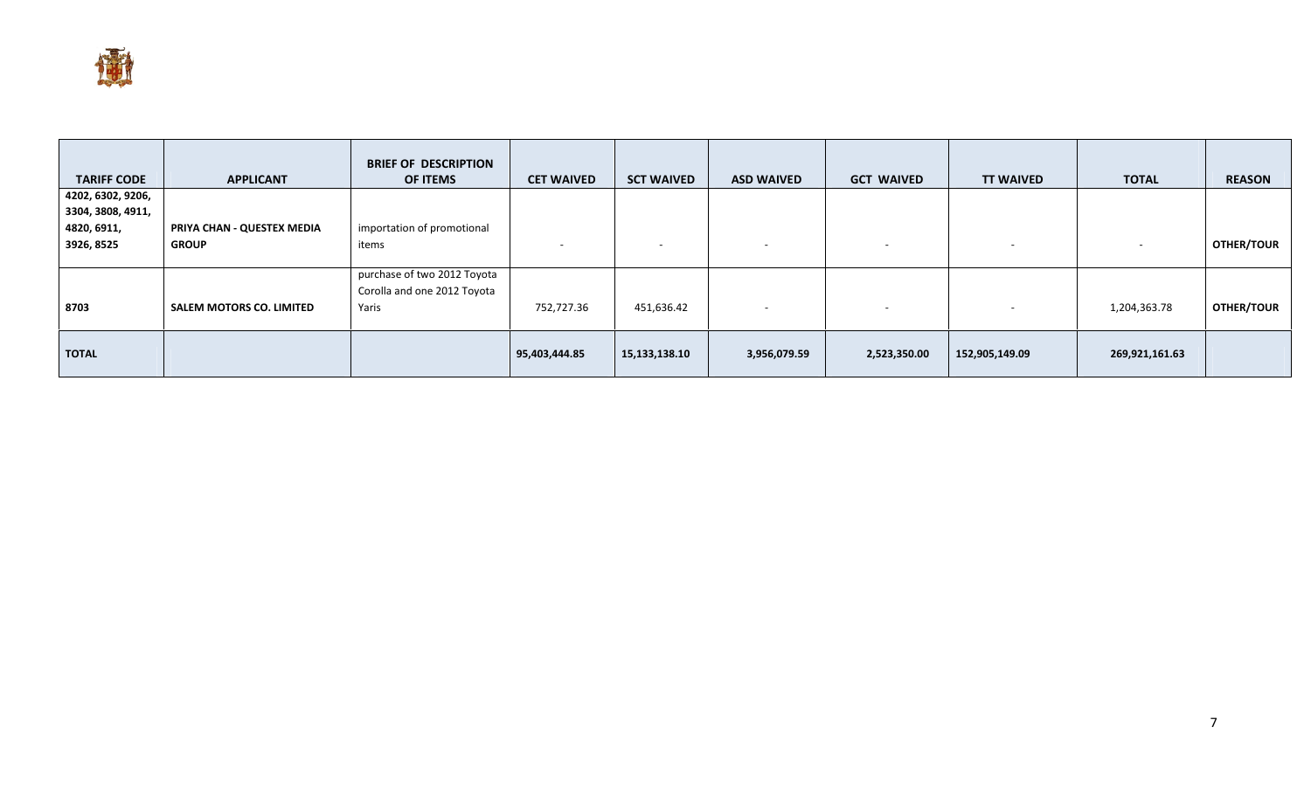

| <b>TARIFF CODE</b> | <b>APPLICANT</b>                | <b>BRIEF OF DESCRIPTION</b><br><b>OF ITEMS</b> | <b>CET WAIVED</b> | <b>SCT WAIVED</b> | <b>ASD WAIVED</b>        | <b>GCT WAIVED</b>        | <b>TT WAIVED</b> | <b>TOTAL</b>             | <b>REASON</b>     |
|--------------------|---------------------------------|------------------------------------------------|-------------------|-------------------|--------------------------|--------------------------|------------------|--------------------------|-------------------|
| 4202, 6302, 9206,  |                                 |                                                |                   |                   |                          |                          |                  |                          |                   |
| 3304, 3808, 4911,  |                                 |                                                |                   |                   |                          |                          |                  |                          |                   |
| 4820, 6911,        | PRIYA CHAN - QUESTEX MEDIA      | importation of promotional                     |                   |                   |                          |                          |                  |                          |                   |
| 3926, 8525         | <b>GROUP</b>                    | items                                          | <b>CONTRACTOR</b> |                   | $\overline{\phantom{a}}$ | $\overline{\phantom{a}}$ |                  | $\overline{\phantom{0}}$ | <b>OTHER/TOUR</b> |
|                    |                                 |                                                |                   |                   |                          |                          |                  |                          |                   |
|                    |                                 | purchase of two 2012 Toyota                    |                   |                   |                          |                          |                  |                          |                   |
|                    |                                 | Corolla and one 2012 Toyota                    |                   |                   |                          |                          |                  |                          |                   |
| 8703               | <b>SALEM MOTORS CO. LIMITED</b> | Yaris                                          | 752,727.36        | 451,636.42        | $\overline{\phantom{a}}$ |                          |                  | 1,204,363.78             | <b>OTHER/TOUR</b> |
|                    |                                 |                                                |                   |                   |                          |                          |                  |                          |                   |
| <b>TOTAL</b>       |                                 |                                                | 95,403,444.85     | 15,133,138.10     | 3,956,079.59             | 2,523,350.00             | 152,905,149.09   | 269,921,161.63           |                   |